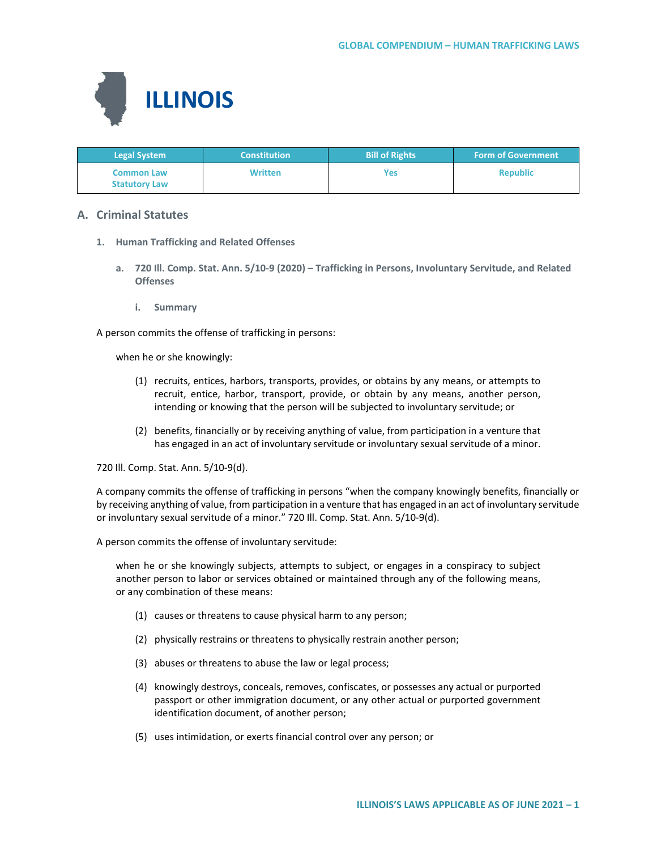

| <b>Legal System</b>                       | <b>Constitution</b> | <b>Bill of Rights</b> | <b>Form of Government</b> |
|-------------------------------------------|---------------------|-----------------------|---------------------------|
| <b>Common Law</b><br><b>Statutory Law</b> | <b>Written</b>      | Yes                   | <b>Republic</b>           |

# **A. Criminal Statutes**

- **1. Human Trafficking and Related Offenses**
	- **a. 720 Ill. Comp. Stat. Ann. 5/10-9 (2020) – Trafficking in Persons, Involuntary Servitude, and Related Offenses**
		- **i. Summary**

A person commits the offense of trafficking in persons:

when he or she knowingly:

- (1) recruits, entices, harbors, transports, provides, or obtains by any means, or attempts to recruit, entice, harbor, transport, provide, or obtain by any means, another person, intending or knowing that the person will be subjected to involuntary servitude; or
- (2) benefits, financially or by receiving anything of value, from participation in a venture that has engaged in an act of involuntary servitude or involuntary sexual servitude of a minor.

720 Ill. Comp. Stat. Ann. 5/10-9(d).

A company commits the offense of trafficking in persons "when the company knowingly benefits, financially or by receiving anything of value, from participation in a venture that has engaged in an act of involuntary servitude or involuntary sexual servitude of a minor." 720 Ill. Comp. Stat. Ann. 5/10-9(d).

A person commits the offense of involuntary servitude:

when he or she knowingly subjects, attempts to subject, or engages in a conspiracy to subject another person to labor or services obtained or maintained through any of the following means, or any combination of these means:

- (1) causes or threatens to cause physical harm to any person;
- (2) physically restrains or threatens to physically restrain another person;
- (3) abuses or threatens to abuse the law or legal process;
- (4) knowingly destroys, conceals, removes, confiscates, or possesses any actual or purported passport or other immigration document, or any other actual or purported government identification document, of another person;
- (5) uses intimidation, or exerts financial control over any person; or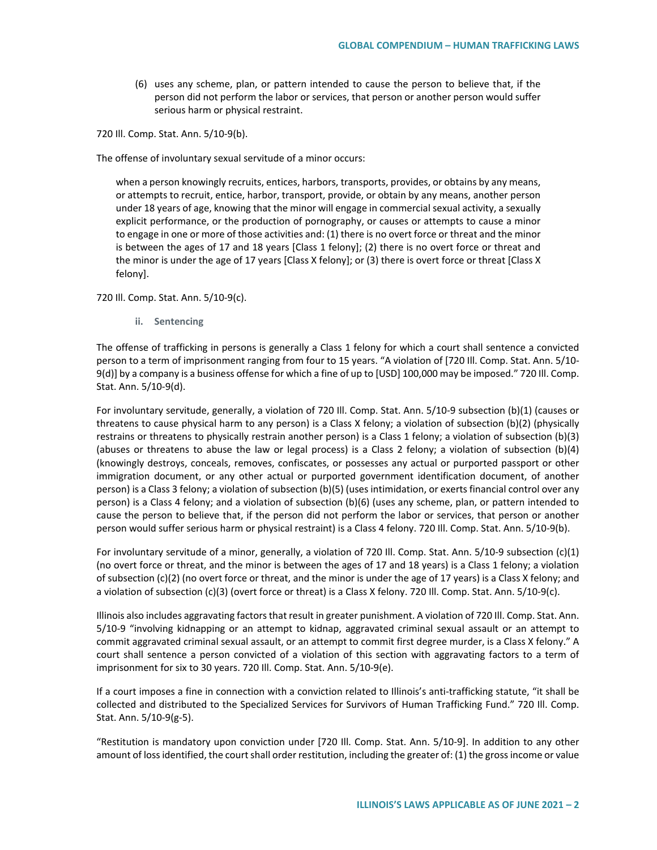(6) uses any scheme, plan, or pattern intended to cause the person to believe that, if the person did not perform the labor or services, that person or another person would suffer serious harm or physical restraint.

720 Ill. Comp. Stat. Ann. 5/10-9(b).

The offense of involuntary sexual servitude of a minor occurs:

when a person knowingly recruits, entices, harbors, transports, provides, or obtains by any means, or attempts to recruit, entice, harbor, transport, provide, or obtain by any means, another person under 18 years of age, knowing that the minor will engage in commercial sexual activity, a sexually explicit performance, or the production of pornography, or causes or attempts to cause a minor to engage in one or more of those activities and: (1) there is no overt force or threat and the minor is between the ages of 17 and 18 years [Class 1 felony]; (2) there is no overt force or threat and the minor is under the age of 17 years [Class X felony]; or (3) there is overt force or threat [Class X felony].

720 Ill. Comp. Stat. Ann. 5/10-9(c).

**ii. Sentencing**

The offense of trafficking in persons is generally a Class 1 felony for which a court shall sentence a convicted person to a term of imprisonment ranging from four to 15 years. "A violation of [720 Ill. Comp. Stat. Ann. 5/10- 9(d)] by a company is a business offense for which a fine of up to [USD] 100,000 may be imposed." 720 Ill. Comp. Stat. Ann. 5/10-9(d).

For involuntary servitude, generally, a violation of 720 Ill. Comp. Stat. Ann. 5/10-9 subsection (b)(1) (causes or threatens to cause physical harm to any person) is a Class X felony; a violation of subsection (b)(2) (physically restrains or threatens to physically restrain another person) is a Class 1 felony; a violation of subsection (b)(3) (abuses or threatens to abuse the law or legal process) is a Class 2 felony; a violation of subsection (b)(4) (knowingly destroys, conceals, removes, confiscates, or possesses any actual or purported passport or other immigration document, or any other actual or purported government identification document, of another person) is a Class 3 felony; a violation of subsection (b)(5) (uses intimidation, or exerts financial control over any person) is a Class 4 felony; and a violation of subsection (b)(6) (uses any scheme, plan, or pattern intended to cause the person to believe that, if the person did not perform the labor or services, that person or another person would suffer serious harm or physical restraint) is a Class 4 felony. 720 Ill. Comp. Stat. Ann. 5/10-9(b).

For involuntary servitude of a minor, generally, a violation of 720 Ill. Comp. Stat. Ann. 5/10-9 subsection (c)(1) (no overt force or threat, and the minor is between the ages of 17 and 18 years) is a Class 1 felony; a violation of subsection (c)(2) (no overt force or threat, and the minor is under the age of 17 years) is a Class X felony; and a violation of subsection (c)(3) (overt force or threat) is a Class X felony. 720 Ill. Comp. Stat. Ann. 5/10-9(c).

Illinois also includes aggravating factors that result in greater punishment. A violation of 720 Ill. Comp. Stat. Ann. 5/10-9 "involving kidnapping or an attempt to kidnap, aggravated criminal sexual assault or an attempt to commit aggravated criminal sexual assault, or an attempt to commit first degree murder, is a Class X felony." A court shall sentence a person convicted of a violation of this section with aggravating factors to a term of imprisonment for six to 30 years. 720 Ill. Comp. Stat. Ann. 5/10-9(e).

If a court imposes a fine in connection with a conviction related to Illinois's anti-trafficking statute, "it shall be collected and distributed to the Specialized Services for Survivors of Human Trafficking Fund." 720 Ill. Comp. Stat. Ann. 5/10-9(g-5).

"Restitution is mandatory upon conviction under [720 Ill. Comp. Stat. Ann. 5/10-9]. In addition to any other amount of loss identified, the court shall order restitution, including the greater of: (1) the gross income or value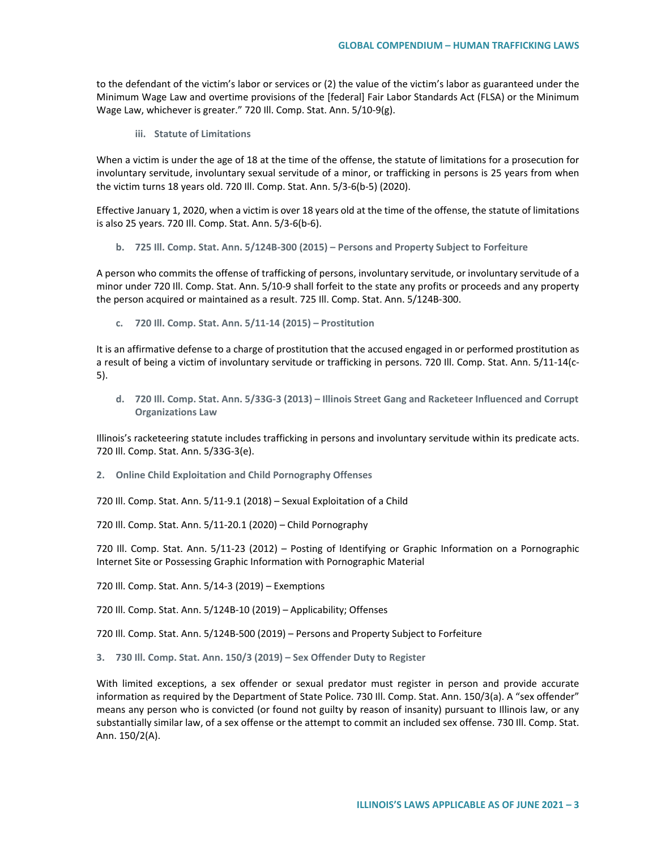to the defendant of the victim's labor or services or (2) the value of the victim's labor as guaranteed under the Minimum Wage Law and overtime provisions of the [federal] Fair Labor Standards Act (FLSA) or the Minimum Wage Law, whichever is greater." 720 Ill. Comp. Stat. Ann. 5/10-9(g).

**iii. Statute of Limitations**

When a victim is under the age of 18 at the time of the offense, the statute of limitations for a prosecution for involuntary servitude, involuntary sexual servitude of a minor, or trafficking in persons is 25 years from when the victim turns 18 years old. 720 Ill. Comp. Stat. Ann. 5/3-6(b-5) (2020).

Effective January 1, 2020, when a victim is over 18 years old at the time of the offense, the statute of limitations is also 25 years. 720 Ill. Comp. Stat. Ann. 5/3-6(b-6).

**b. 725 Ill. Comp. Stat. Ann. 5/124B-300 (2015) – Persons and Property Subject to Forfeiture**

A person who commits the offense of trafficking of persons, involuntary servitude, or involuntary servitude of a minor under 720 Ill. Comp. Stat. Ann. 5/10-9 shall forfeit to the state any profits or proceeds and any property the person acquired or maintained as a result. 725 Ill. Comp. Stat. Ann. 5/124B-300.

**c. 720 Ill. Comp. Stat. Ann. 5/11-14 (2015) – Prostitution** 

It is an affirmative defense to a charge of prostitution that the accused engaged in or performed prostitution as a result of being a victim of involuntary servitude or trafficking in persons. 720 Ill. Comp. Stat. Ann. 5/11-14(c-5).

**d. 720 Ill. Comp. Stat. Ann. 5/33G-3 (2013) – Illinois Street Gang and Racketeer Influenced and Corrupt Organizations Law**

Illinois's racketeering statute includes trafficking in persons and involuntary servitude within its predicate acts. 720 Ill. Comp. Stat. Ann. 5/33G-3(e).

**2. Online Child Exploitation and Child Pornography Offenses**

720 Ill. Comp. Stat. Ann. 5/11-9.1 (2018) – Sexual Exploitation of a Child

720 Ill. Comp. Stat. Ann. 5/11-20.1 (2020) – Child Pornography

720 Ill. Comp. Stat. Ann. 5/11-23 (2012) – Posting of Identifying or Graphic Information on a Pornographic Internet Site or Possessing Graphic Information with Pornographic Material

720 Ill. Comp. Stat. Ann. 5/14-3 (2019) – Exemptions

720 Ill. Comp. Stat. Ann. 5/124B-10 (2019) – Applicability; Offenses

720 Ill. Comp. Stat. Ann. 5/124B-500 (2019) – Persons and Property Subject to Forfeiture

**3. 730 Ill. Comp. Stat. Ann. 150/3 (2019) – Sex Offender Duty to Register**

With limited exceptions, a sex offender or sexual predator must register in person and provide accurate information as required by the Department of State Police. 730 Ill. Comp. Stat. Ann. 150/3(a). A "sex offender" means any person who is convicted (or found not guilty by reason of insanity) pursuant to Illinois law, or any substantially similar law, of a sex offense or the attempt to commit an included sex offense. 730 Ill. Comp. Stat. Ann. 150/2(A).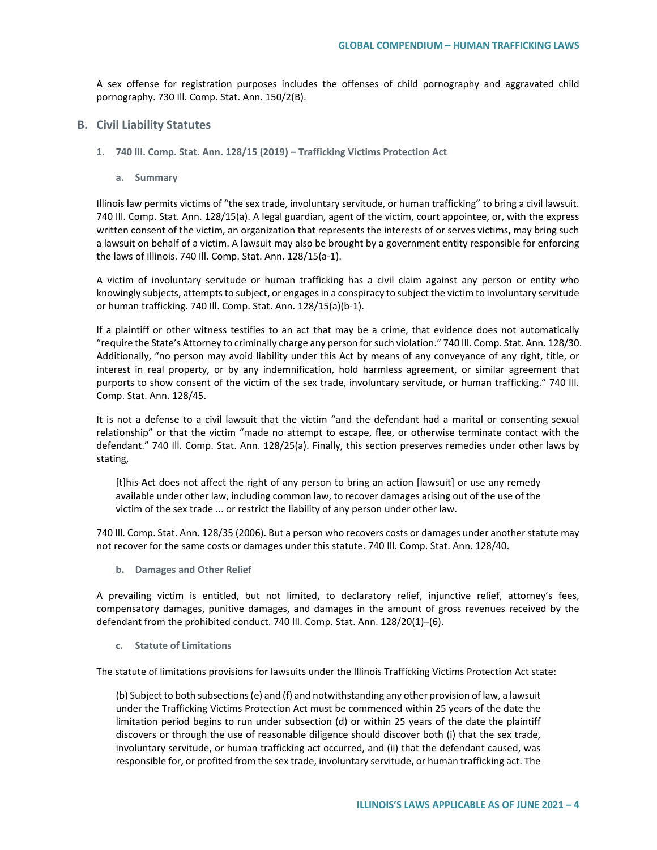A sex offense for registration purposes includes the offenses of child pornography and aggravated child pornography. 730 Ill. Comp. Stat. Ann. 150/2(B).

- **B. Civil Liability Statutes**
	- **1. 740 Ill. Comp. Stat. Ann. 128/15 (2019) – Trafficking Victims Protection Act**
		- **a. Summary**

Illinois law permits victims of "the sex trade, involuntary servitude, or human trafficking" to bring a civil lawsuit. 740 Ill. Comp. Stat. Ann. 128/15(a). A legal guardian, agent of the victim, court appointee, or, with the express written consent of the victim, an organization that represents the interests of or serves victims, may bring such a lawsuit on behalf of a victim. A lawsuit may also be brought by a government entity responsible for enforcing the laws of Illinois. 740 Ill. Comp. Stat. Ann. 128/15(a-1).

A victim of involuntary servitude or human trafficking has a civil claim against any person or entity who knowingly subjects, attempts to subject, or engages in a conspiracy to subject the victim to involuntary servitude or human trafficking. 740 Ill. Comp. Stat. Ann. 128/15(a)(b-1).

If a plaintiff or other witness testifies to an act that may be a crime, that evidence does not automatically "require the State's Attorney to criminally charge any person for such violation." 740 Ill. Comp. Stat. Ann. 128/30. Additionally, "no person may avoid liability under this Act by means of any conveyance of any right, title, or interest in real property, or by any indemnification, hold harmless agreement, or similar agreement that purports to show consent of the victim of the sex trade, involuntary servitude, or human trafficking." 740 Ill. Comp. Stat. Ann. 128/45.

It is not a defense to a civil lawsuit that the victim "and the defendant had a marital or consenting sexual relationship" or that the victim "made no attempt to escape, flee, or otherwise terminate contact with the defendant." 740 Ill. Comp. Stat. Ann. 128/25(a). Finally, this section preserves remedies under other laws by stating,

[t]his Act does not affect the right of any person to bring an action [lawsuit] or use any remedy available under other law, including common law, to recover damages arising out of the use of the victim of the sex trade ... or restrict the liability of any person under other law.

740 Ill. Comp. Stat. Ann. 128/35 (2006). But a person who recovers costs or damages under another statute may not recover for the same costs or damages under this statute. 740 Ill. Comp. Stat. Ann. 128/40.

**b. Damages and Other Relief**

A prevailing victim is entitled, but not limited, to declaratory relief, injunctive relief, attorney's fees, compensatory damages, punitive damages, and damages in the amount of gross revenues received by the defendant from the prohibited conduct. 740 Ill. Comp. Stat. Ann. 128/20(1)–(6).

**c. Statute of Limitations**

The statute of limitations provisions for lawsuits under the Illinois Trafficking Victims Protection Act state:

(b) Subject to both subsections (e) and (f) and notwithstanding any other provision of law, a lawsuit under the Trafficking Victims Protection Act must be commenced within 25 years of the date the limitation period begins to run under subsection (d) or within 25 years of the date the plaintiff discovers or through the use of reasonable diligence should discover both (i) that the sex trade, involuntary servitude, or human trafficking act occurred, and (ii) that the defendant caused, was responsible for, or profited from the sex trade, involuntary servitude, or human trafficking act. The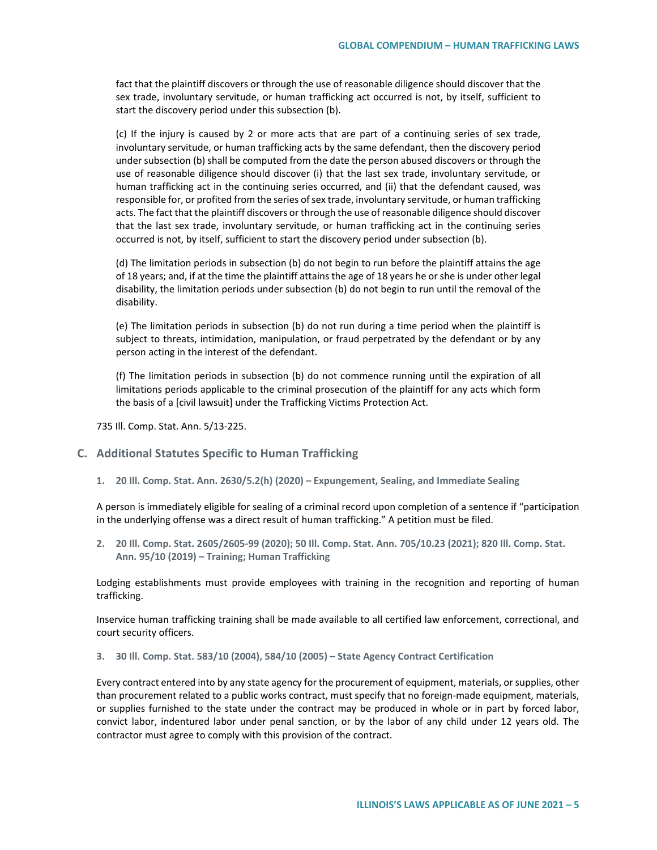fact that the plaintiff discovers or through the use of reasonable diligence should discover that the sex trade, involuntary servitude, or human trafficking act occurred is not, by itself, sufficient to start the discovery period under this subsection (b).

(c) If the injury is caused by 2 or more acts that are part of a continuing series of sex trade, involuntary servitude, or human trafficking acts by the same defendant, then the discovery period under subsection (b) shall be computed from the date the person abused discovers or through the use of reasonable diligence should discover (i) that the last sex trade, involuntary servitude, or human trafficking act in the continuing series occurred, and (ii) that the defendant caused, was responsible for, or profited from the series of sex trade, involuntary servitude, or human trafficking acts. The fact that the plaintiff discovers or through the use of reasonable diligence should discover that the last sex trade, involuntary servitude, or human trafficking act in the continuing series occurred is not, by itself, sufficient to start the discovery period under subsection (b).

(d) The limitation periods in subsection (b) do not begin to run before the plaintiff attains the age of 18 years; and, if at the time the plaintiff attains the age of 18 years he or she is under other legal disability, the limitation periods under subsection (b) do not begin to run until the removal of the disability.

(e) The limitation periods in subsection (b) do not run during a time period when the plaintiff is subject to threats, intimidation, manipulation, or fraud perpetrated by the defendant or by any person acting in the interest of the defendant.

(f) The limitation periods in subsection (b) do not commence running until the expiration of all limitations periods applicable to the criminal prosecution of the plaintiff for any acts which form the basis of a [civil lawsuit] under the Trafficking Victims Protection Act.

735 Ill. Comp. Stat. Ann. 5/13-225.

## **C. Additional Statutes Specific to Human Trafficking**

**1. 20 Ill. Comp. Stat. Ann. 2630/5.2(h) (2020) – Expungement, Sealing, and Immediate Sealing**

A person is immediately eligible for sealing of a criminal record upon completion of a sentence if "participation in the underlying offense was a direct result of human trafficking." A petition must be filed.

**2. 20 Ill. Comp. Stat. 2605/2605-99 (2020); 50 Ill. Comp. Stat. Ann. 705/10.23 (2021); 820 Ill. Comp. Stat. Ann. 95/10 (2019) – Training; Human Trafficking**

Lodging establishments must provide employees with training in the recognition and reporting of human trafficking.

Inservice human trafficking training shall be made available to all certified law enforcement, correctional, and court security officers.

#### **3. 30 Ill. Comp. Stat. 583/10 (2004), 584/10 (2005) – State Agency Contract Certification**

Every contract entered into by any state agency for the procurement of equipment, materials, or supplies, other than procurement related to a public works contract, must specify that no foreign-made equipment, materials, or supplies furnished to the state under the contract may be produced in whole or in part by forced labor, convict labor, indentured labor under penal sanction, or by the labor of any child under 12 years old. The contractor must agree to comply with this provision of the contract.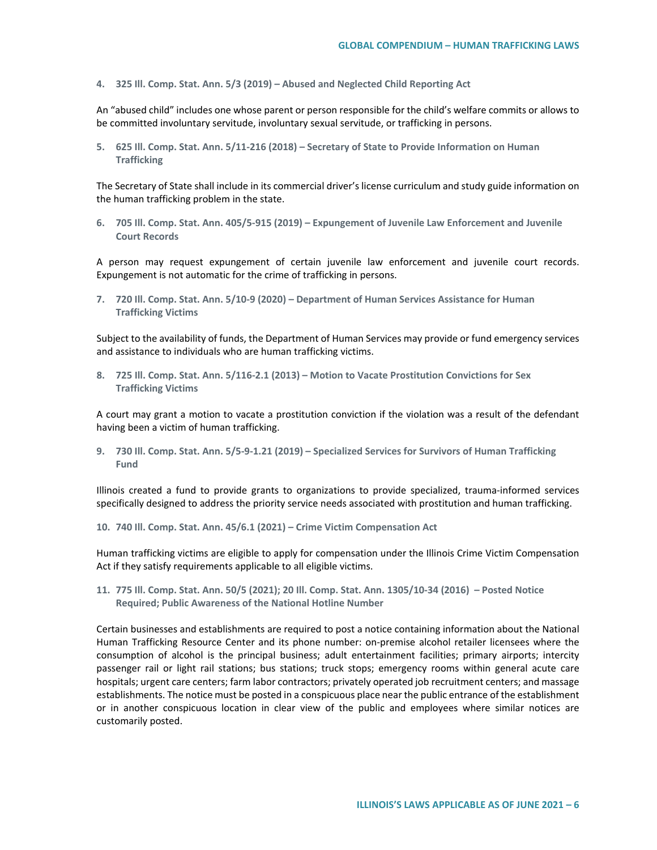**4. 325 Ill. Comp. Stat. Ann. 5/3 (2019) – Abused and Neglected Child Reporting Act**

An "abused child" includes one whose parent or person responsible for the child's welfare commits or allows to be committed involuntary servitude, involuntary sexual servitude, or trafficking in persons.

**5. 625 Ill. Comp. Stat. Ann. 5/11-216 (2018) – Secretary of State to Provide Information on Human Trafficking**

The Secretary of State shall include in its commercial driver's license curriculum and study guide information on the human trafficking problem in the state.

**6. 705 Ill. Comp. Stat. Ann. 405/5-915 (2019) – Expungement of Juvenile Law Enforcement and Juvenile Court Records**

A person may request expungement of certain juvenile law enforcement and juvenile court records. Expungement is not automatic for the crime of trafficking in persons.

**7. 720 Ill. Comp. Stat. Ann. 5/10-9 (2020) – Department of Human Services Assistance for Human Trafficking Victims**

Subject to the availability of funds, the Department of Human Services may provide or fund emergency services and assistance to individuals who are human trafficking victims.

**8. 725 Ill. Comp. Stat. Ann. 5/116-2.1 (2013) – Motion to Vacate Prostitution Convictions for Sex Trafficking Victims**

A court may grant a motion to vacate a prostitution conviction if the violation was a result of the defendant having been a victim of human trafficking.

**9. 730 Ill. Comp. Stat. Ann. 5/5-9-1.21 (2019) – Specialized Services for Survivors of Human Trafficking Fund**

Illinois created a fund to provide grants to organizations to provide specialized, trauma-informed services specifically designed to address the priority service needs associated with prostitution and human trafficking.

**10. 740 Ill. Comp. Stat. Ann. 45/6.1 (2021) – Crime Victim Compensation Act**

Human trafficking victims are eligible to apply for compensation under the Illinois Crime Victim Compensation Act if they satisfy requirements applicable to all eligible victims.

**11. 775 Ill. Comp. Stat. Ann. 50/5 (2021); 20 Ill. Comp. Stat. Ann. 1305/10-34 (2016) – Posted Notice Required; Public Awareness of the National Hotline Number**

Certain businesses and establishments are required to post a notice containing information about the National Human Trafficking Resource Center and its phone number: on-premise alcohol retailer licensees where the consumption of alcohol is the principal business; adult entertainment facilities; primary airports; intercity passenger rail or light rail stations; bus stations; truck stops; emergency rooms within general acute care hospitals; urgent care centers; farm labor contractors; privately operated job recruitment centers; and massage establishments. The notice must be posted in a conspicuous place near the public entrance of the establishment or in another conspicuous location in clear view of the public and employees where similar notices are customarily posted.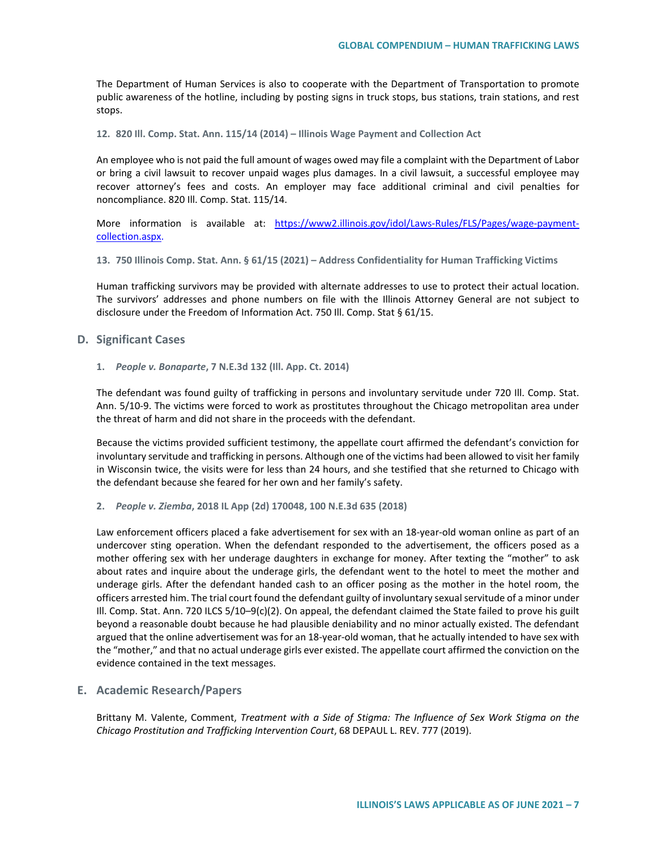The Department of Human Services is also to cooperate with the Department of Transportation to promote public awareness of the hotline, including by posting signs in truck stops, bus stations, train stations, and rest stops.

**12. 820 Ill. Comp. Stat. Ann. 115/14 (2014) – Illinois Wage Payment and Collection Act**

An employee who is not paid the full amount of wages owed may file a complaint with the Department of Labor or bring a civil lawsuit to recover unpaid wages plus damages. In a civil lawsuit, a successful employee may recover attorney's fees and costs. An employer may face additional criminal and civil penalties for noncompliance. 820 Ill. Comp. Stat. 115/14.

More information is available at: [https://www2.illinois.gov/idol/Laws-Rules/FLS/Pages/wage-payment](https://www2.illinois.gov/idol/Laws-Rules/FLS/Pages/wage-payment-collection.aspx)[collection.aspx.](https://www2.illinois.gov/idol/Laws-Rules/FLS/Pages/wage-payment-collection.aspx)

**13. 750 Illinois Comp. Stat. Ann. § 61/15 (2021) – Address Confidentiality for Human Trafficking Victims** 

Human trafficking survivors may be provided with alternate addresses to use to protect their actual location. The survivors' addresses and phone numbers on file with the Illinois Attorney General are not subject to disclosure under the Freedom of Information Act. 750 Ill. Comp. Stat § 61/15.

#### **D. Significant Cases**

### **1.** *People v. Bonaparte***, 7 N.E.3d 132 (Ill. App. Ct. 2014)**

The defendant was found guilty of trafficking in persons and involuntary servitude under 720 Ill. Comp. Stat. Ann. 5/10-9. The victims were forced to work as prostitutes throughout the Chicago metropolitan area under the threat of harm and did not share in the proceeds with the defendant.

Because the victims provided sufficient testimony, the appellate court affirmed the defendant's conviction for involuntary servitude and trafficking in persons. Although one of the victims had been allowed to visit her family in Wisconsin twice, the visits were for less than 24 hours, and she testified that she returned to Chicago with the defendant because she feared for her own and her family's safety.

**2.** *People v. Ziemba***, 2018 IL App (2d) 170048, 100 N.E.3d 635 (2018)**

Law enforcement officers placed a fake advertisement for sex with an 18-year-old woman online as part of an undercover sting operation. When the defendant responded to the advertisement, the officers posed as a mother offering sex with her underage daughters in exchange for money. After texting the "mother" to ask about rates and inquire about the underage girls, the defendant went to the hotel to meet the mother and underage girls. After the defendant handed cash to an officer posing as the mother in the hotel room, the officers arrested him. The trial court found the defendant guilty of involuntary sexual servitude of a minor under Ill. Comp. Stat. Ann. 720 ILCS 5/10–9(c)(2). On appeal, the defendant claimed the State failed to prove his guilt beyond a reasonable doubt because he had plausible deniability and no minor actually existed. The defendant argued that the online advertisement was for an 18-year-old woman, that he actually intended to have sex with the "mother," and that no actual underage girls ever existed. The appellate court affirmed the conviction on the evidence contained in the text messages.

#### **E. Academic Research/Papers**

Brittany M. Valente, Comment, *Treatment with a Side of Stigma: The Influence of Sex Work Stigma on the Chicago Prostitution and Trafficking Intervention Court*, 68 DEPAUL L. REV. 777 (2019).